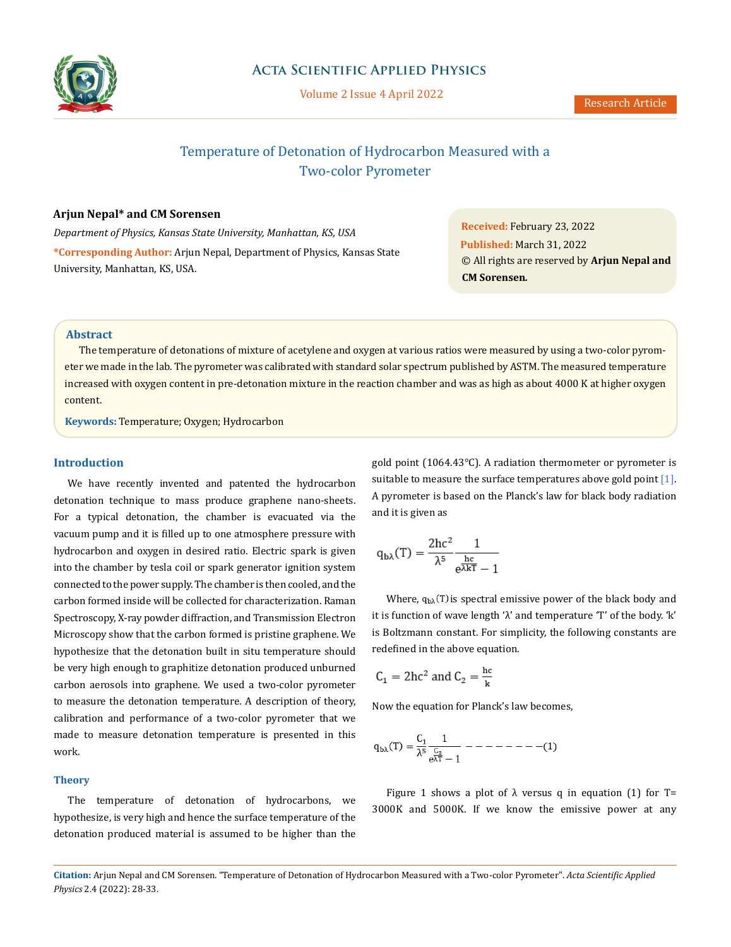

# Temperature of Detonation of Hydrocarbon Measured with a Two-color Pyrometer

# **Arjun Nepal\* and CM Sorensen**

*Department of Physics, Kansas State University, Manhattan, KS, USA* **\*Corresponding Author:** Arjun Nepal, Department of Physics, Kansas State University, Manhattan, KS, USA.

**Received:** February 23, 2022 **Published:** March 31, 2022 © All rights are reserved by **Arjun Nepal and CM Sorensen***.*

### **Abstract**

The temperature of detonations of mixture of acetylene and oxygen at various ratios were measured by using a two-color pyrometer we made in the lab. The pyrometer was calibrated with standard solar spectrum published by ASTM. The measured temperature increased with oxygen content in pre-detonation mixture in the reaction chamber and was as high as about 4000 K at higher oxygen content.

**Keywords:** Temperature; Oxygen; Hydrocarbon

### **Introduction**

We have recently invented and patented the hydrocarbon detonation technique to mass produce graphene nano-sheets. For a typical detonation, the chamber is evacuated via the vacuum pump and it is filled up to one atmosphere pressure with hydrocarbon and oxygen in desired ratio. Electric spark is given into the chamber by tesla coil or spark generator ignition system connected to the power supply. The chamber is then cooled, and the carbon formed inside will be collected for characterization. Raman Spectroscopy, X-ray powder diffraction, and Transmission Electron Microscopy show that the carbon formed is pristine graphene. We hypothesize that the detonation built in situ temperature should be very high enough to graphitize detonation produced unburned carbon aerosols into graphene. We used a two-color pyrometer to measure the detonation temperature. A description of theory, calibration and performance of a two-color pyrometer that we made to measure detonation temperature is presented in this work.

#### **Theory**

The temperature of detonation of hydrocarbons, we hypothesize, is very high and hence the surface temperature of the detonation produced material is assumed to be higher than the gold point (1064.43°C). A radiation thermometer or pyrometer is suitable to measure the surface temperatures above gold point  $[1]$ . A pyrometer is based on the Planck's law for black body radiation and it is given as

$$
q_{b\lambda}(T) = \frac{2hc^2}{\lambda^5} \frac{1}{e^{\frac{hc}{\lambda kT}} - 1}
$$

Where,  $q_{b\lambda}(T)$  is spectral emissive power of the black body and it is function of wave length 'λ' and temperature 'T' of the body. 'k' is Boltzmann constant. For simplicity, the following constants are redefined in the above equation.

$$
C_1 = 2hc^2 \text{ and } C_2 = \frac{hc}{k}
$$

Now the equation for Planck's law becomes,

$$
q_{b\lambda}(T)=\frac{C_1}{\lambda^5}\frac{1}{\frac{C_2}{e\lambda T}-1}\ -\ -\ -\ -\ -\ -(1)
$$

Figure 1 shows a plot of  $\lambda$  versus q in equation (1) for T= 3000K and 5000K. If we know the emissive power at any

**Citation:** Arjun Nepal and CM Sorensen*.* "Temperature of Detonation of Hydrocarbon Measured with a Two-color Pyrometer". *Acta Scientific Applied Physics* 2.4 (2022): 28-33.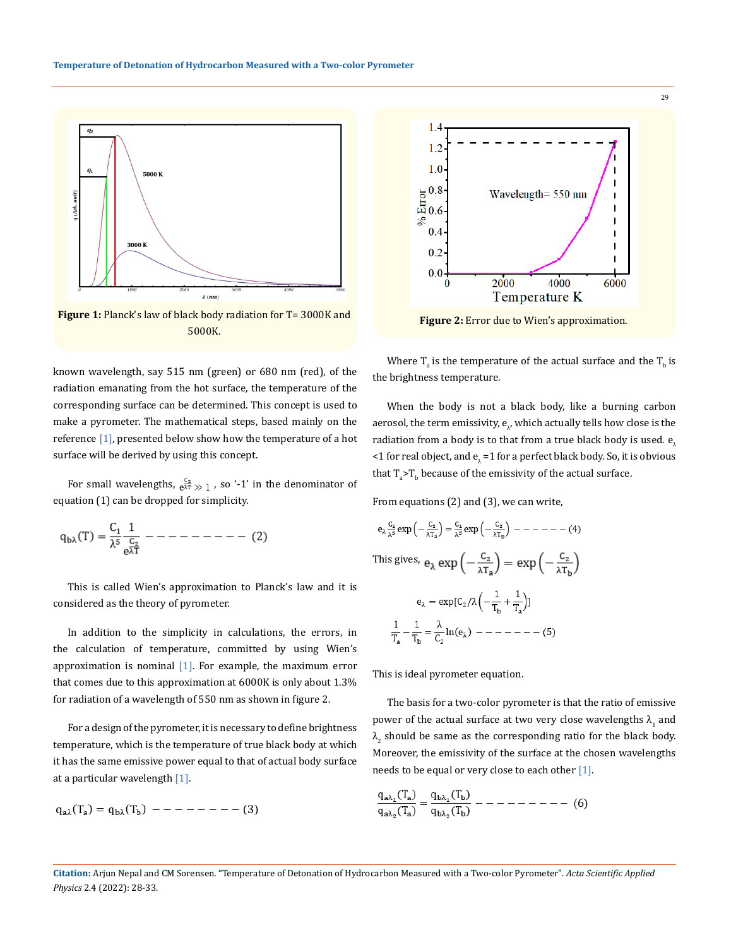

Figure 1: Planck's law of black body radiation for T= 3000K and 5000K.

known wavelength, say 515 nm (green) or 680 nm (red), of the radiation emanating from the hot surface, the temperature of the corresponding surface can be determined. This concept is used to make a pyrometer. The mathematical steps, based mainly on the reference  $[1]$ , presented below show how the temperature of a hot surface will be derived by using this concept.

For small wavelengths,  $e^{\frac{C_2}{\lambda T}} \gg 1$ , so '-1' in the denominator of equation (1) can be dropped for simplicity.

$$
q_{b\lambda}(T) = \frac{C_1}{\lambda^5} \frac{1}{\frac{C_2}{e^{\lambda T}}} - \dots - \dots - \dots - (2)
$$

This is called Wien's approximation to Planck's law and it is considered as the theory of pyrometer.

In addition to the simplicity in calculations, the errors, in the calculation of temperature, committed by using Wien's approximation is nominal  $[1]$ . For example, the maximum error that comes due to this approximation at 6000K is only about 1.3% for radiation of a wavelength of 550 nm as shown in figure 2.

For a design of the pyrometer, it is necessary to define brightness temperature, which is the temperature of true black body at which it has the same emissive power equal to that of actual body surface at a particular wavelength [1].

$$
q_{a\lambda}(T_a) = q_{b\lambda}(T_b) \ - - - - - - - - (3)
$$



**Figure 2:** Error due to Wien's approximation.

Where  $T_a$  is the temperature of the actual surface and the  $T_b$  is the brightness temperature.

When the body is not a black body, like a burning carbon aerosol, the term emissivity,  ${\bf e}_\lambda$ , which actually tells how close is the radiation from a body is to that from a true black body is used.  $e_1$ <1 for real object, and  ${\mathsf e}_\lambda$  =1 for a perfect black body. So, it is obvious  $\text{that}$  T $_{\text{a}}$ >T $_{\text{b}}$  because of the emissivity of the actual surface.

From equations (2) and (3), we can write,

$$
e_{\lambda} \frac{C_1}{\lambda^8} \exp\left(-\frac{C_2}{\lambda T_8}\right) = \frac{C_1}{\lambda^8} \exp\left(-\frac{C_2}{\lambda T_8}\right) - - - - - - - - (4)
$$
  
This gives,  $e_{\lambda} \exp\left(-\frac{C_2}{\lambda T_8}\right) = \exp\left(-\frac{C_2}{\lambda T_8}\right)$   

$$
e_{\lambda} = \exp[C_2/\lambda\left(-\frac{1}{T_b} + \frac{1}{T_a}\right)]
$$
  

$$
\frac{1}{T_a} - \frac{1}{T_b} = \frac{\lambda}{C_2} \ln(e_{\lambda}) - - - - - - - - (5)
$$

This is ideal pyrometer equation.

The basis for a two-color pyrometer is that the ratio of emissive power of the actual surface at two very close wavelengths  $\lambda_1$  and  $\lambda_2$  should be same as the corresponding ratio for the black body. Moreover, the emissivity of the surface at the chosen wavelengths needs to be equal or very close to each other [1].

$$
\frac{q_{a\lambda_1}(T_a)}{q_{a\lambda_2}(T_a)} = \frac{q_{b\lambda_1}(T_b)}{q_{b\lambda_2}(T_b)} - - - - - - - - - \tag{6}
$$

29

**Citation:** Arjun Nepal and CM Sorensen*.* "Temperature of Detonation of Hydrocarbon Measured with a Two-color Pyrometer". *Acta Scientific Applied Physics* 2.4 (2022): 28-33.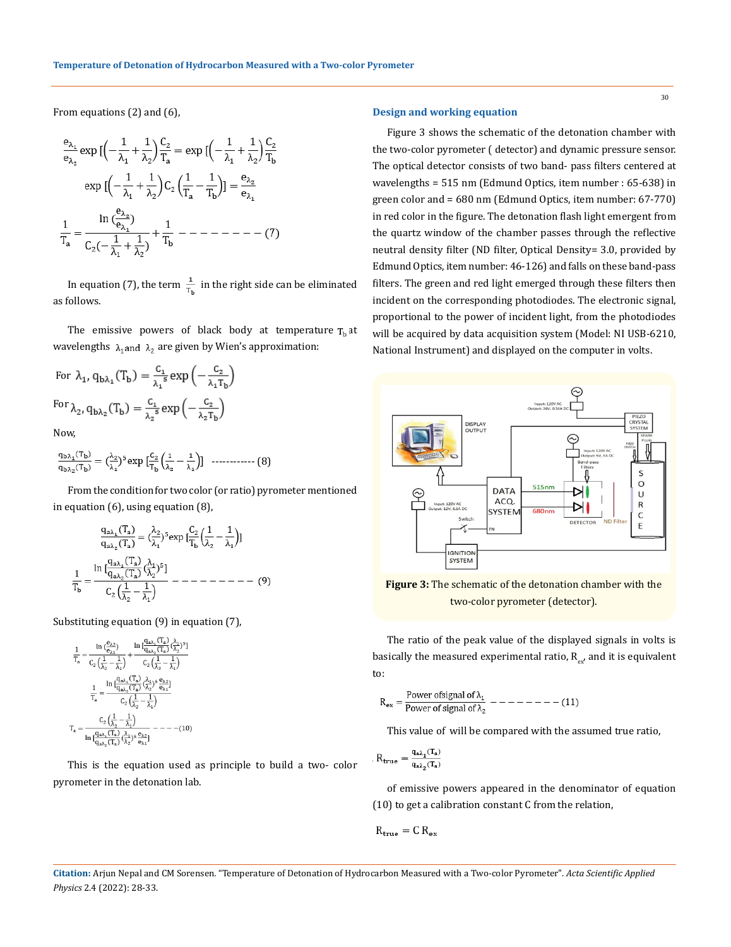From equations (2) and (6),

$$
\frac{e_{\lambda_1}}{e_{\lambda_2}} \exp\big[\left(-\frac{1}{\lambda_1} + \frac{1}{\lambda_2}\right)\frac{C_2}{T_a} = \exp\big[\left(-\frac{1}{\lambda_1} + \frac{1}{\lambda_2}\right)\frac{C_2}{T_b}
$$
\n
$$
\exp\big[\left(-\frac{1}{\lambda_1} + \frac{1}{\lambda_2}\right)C_2\left(\frac{1}{T_a} - \frac{1}{T_b}\right)\big] = \frac{e_{\lambda_2}}{e_{\lambda_1}}
$$
\n
$$
\frac{1}{T_a} = \frac{\ln\big(\frac{e_{\lambda_2}}{e_{\lambda_1}}\big)}{C_2\left(-\frac{1}{\lambda_1} + \frac{1}{\lambda_2}\right)} + \frac{1}{T_b} - \dots - \dots - \dots \tag{7}
$$

In equation (7), the term  $\frac{1}{T_{\text{h}}}$  in the right side can be eliminated as follows.

The emissive powers of black body at temperature  $T<sub>h</sub>$  at wavelengths  $\lambda_1$  and  $\lambda_2$  are given by Wien's approximation:

For 
$$
\lambda_1
$$
,  $q_{b\lambda_1}(T_b) = \frac{C_1}{\lambda_1^5} \exp\left(-\frac{C_2}{\lambda_1 T_b}\right)$   
For  $\lambda_2$ ,  $q_{b\lambda_2}(T_b) = \frac{C_1}{\lambda_2^5} \exp\left(-\frac{C_2}{\lambda_2 T_b}\right)$ 

Now,

$$
\frac{q_{b\lambda_1}(T_b)}{q_{b\lambda_2}(T_b)} = \left(\frac{\lambda_2}{\lambda_1}\right)^5 \exp\left[\frac{C_2}{T_b}\left(\frac{1}{\lambda_2} - \frac{1}{\lambda_1}\right)\right] \quad \dots \dots \dots \dots \dots \tag{8}
$$

From the condition for two color (or ratio) pyrometer mentioned in equation (6), using equation (8),

$$
\frac{q_{a\lambda_1}(T_a)}{q_{a\lambda_2}(T_a)} = \left(\frac{\lambda_2}{\lambda_1}\right)^5 \exp\left[\frac{C_2}{T_b}\left(\frac{1}{\lambda_2} - \frac{1}{\lambda_1}\right)\right]
$$

$$
\frac{1}{T_b} = \frac{\ln\left[\frac{q_{a\lambda_1}(T_a)}{q_{a\lambda_2}(T_a)}\left(\frac{\lambda_1}{\lambda_2}\right)^5\right]}{C_2\left(\frac{1}{\lambda_2} - \frac{1}{\lambda_1}\right)} \left[\frac{1}{\lambda_1}\right] \left[\frac{1}{\lambda_2}\right] \left[\frac{1}{\lambda_2}\right] \left[\frac{1}{\lambda_2}\right] \left[\frac{1}{\lambda_2}\right] \left[\frac{1}{\lambda_2}\right] \left[\frac{1}{\lambda_2}\right] \left[\frac{1}{\lambda_2}\right] \left[\frac{1}{\lambda_2}\right] \left[\frac{1}{\lambda_2}\right] \left[\frac{1}{\lambda_2}\right] \left[\frac{1}{\lambda_2}\right] \left[\frac{1}{\lambda_2}\right] \left[\frac{1}{\lambda_2}\right] \left[\frac{1}{\lambda_2}\right] \left[\frac{1}{\lambda_2}\right] \left[\frac{1}{\lambda_2}\right] \left[\frac{1}{\lambda_2}\right] \left[\frac{1}{\lambda_2}\right] \left[\frac{1}{\lambda_2}\right] \left[\frac{1}{\lambda_2}\right] \left[\frac{1}{\lambda_2}\right] \left[\frac{1}{\lambda_2}\right] \left[\frac{1}{\lambda_2}\right] \left[\frac{1}{\lambda_2}\right] \left[\frac{1}{\lambda_2}\right] \left[\frac{1}{\lambda_2}\right] \left[\frac{1}{\lambda_2}\right] \left[\frac{1}{\lambda_2}\right] \left[\frac{1}{\lambda_2}\right] \left[\frac{1}{\lambda_2}\right] \left[\frac{1}{\lambda_2}\right] \left[\frac{1}{\lambda_2}\right] \left[\frac{1}{\lambda_2}\right] \left[\frac{1}{\lambda_2}\right] \left[\frac{1}{\lambda_2}\right] \left[\frac{1}{\lambda_2}\right] \left[\frac{1}{\lambda_2}\right] \left[\frac{1}{\lambda_2}\right] \left[\frac{1}{\lambda_2}\right] \left[\frac{1}{\lambda_2}\right] \left[\frac{1
$$

Substituting equation (9) in equation (7),

$$
\frac{1}{T_a} = \frac{\ln\left(\frac{e_{\lambda2}}{e_{\lambda1}}\right)}{C_2\left(\frac{1}{\lambda_2} - \frac{1}{\lambda_1}\right)} + \frac{\ln\left(\frac{q_{\lambda2}}{q_{\lambda2}}\right)\left(\frac{\lambda_1}{\lambda_2}\right)^5}{C_2\left(\frac{1}{\lambda_2} - \frac{1}{\lambda_1}\right)}
$$
\n
$$
\frac{1}{T_a} = \frac{\ln\left(\frac{q_{\lambda\lambda_1}}{q_{\lambda\lambda_2}}\left(\frac{T_a}{\lambda_2}\right)\right)}{C_2\left(\frac{1}{\lambda_2} - \frac{1}{\lambda_1}\right)}
$$
\n
$$
T_a = \frac{C_2\left(\frac{1}{\lambda_2} - \frac{1}{\lambda_1}\right)}{C_2\left(\frac{1}{\lambda_2} - \frac{1}{\lambda_1}\right)}
$$
\n
$$
T_a = \frac{C_2\left(\frac{1}{\lambda_2} - \frac{1}{\lambda_1}\right)}{\ln\left(\frac{q_{\lambda\lambda_1}\left(\frac{T_a}{\lambda_2}\right)}{\left(\frac{1}{\lambda_2}\right)}\left(\frac{\lambda_1}{\lambda_2}\right)} - \frac{-(10)}{10}
$$

This is the equation used as principle to build a two- color pyrometer in the detonation lab.

# **Design and working equation**

Figure 3 shows the schematic of the detonation chamber with the two-color pyrometer ( detector) and dynamic pressure sensor. The optical detector consists of two band- pass filters centered at wavelengths = 515 nm (Edmund Optics, item number : 65-638) in green color and = 680 nm (Edmund Optics, item number: 67-770) in red color in the figure. The detonation flash light emergent from the quartz window of the chamber passes through the reflective neutral density filter (ND filter, Optical Density= 3.0, provided by Edmund Optics, item number: 46-126) and falls on these band-pass filters. The green and red light emerged through these filters then incident on the corresponding photodiodes. The electronic signal, proportional to the power of incident light, from the photodiodes will be acquired by data acquisition system (Model: NI USB-6210, National Instrument) and displayed on the computer in volts.



**Figure 3:** The schematic of the detonation chamber with the two-color pyrometer (detector).

The ratio of the peak value of the displayed signals in volts is basically the measured experimental ratio,  $R_{ex}$ , and it is equivalent to:

$$
R_{ex} = \frac{Power \text{ of signal of } \lambda_1}{Power \text{ of signal of } \lambda_2} \quad - \quad - \quad - \quad - \quad - \quad (11)
$$

This value of will be compared with the assumed true ratio,

$$
R_{true} = \frac{q_{a\lambda_1}(T_a)}{q_{a\lambda_2}(T_a)}
$$

of emissive powers appeared in the denominator of equation (10) to get a calibration constant C from the relation,

$$
R_{true} = C R_{ex}
$$

**Citation:** Arjun Nepal and CM Sorensen*.* "Temperature of Detonation of Hydrocarbon Measured with a Two-color Pyrometer". *Acta Scientific Applied Physics* 2.4 (2022): 28-33.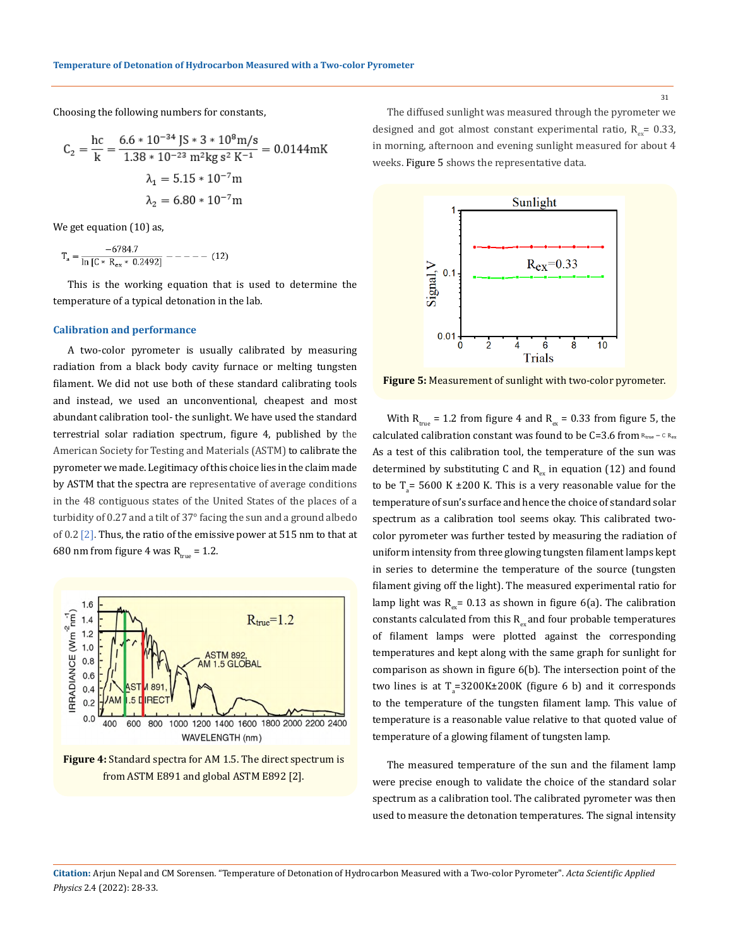Choosing the following numbers for constants,

$$
C_2 = \frac{hc}{k} = \frac{6.6 * 10^{-34} \text{ J}^2 \text{ s}^3 * 10^8 \text{ m/s}}{1.38 * 10^{-23} \text{ m}^2 \text{kg s}^2 \text{ K}^{-1}} = 0.0144 \text{mK}
$$

$$
\lambda_1 = 5.15 * 10^{-7} \text{m}
$$

$$
\lambda_2 = 6.80 * 10^{-7} \text{m}
$$

We get equation (10) as,

$$
T_a = \frac{-6784.7}{\ln \left[ C * R_{ex} * 0.2492 \right]} --- (12)
$$

This is the working equation that is used to determine the temperature of a typical detonation in the lab.

#### **Calibration and performance**

A two-color pyrometer is usually calibrated by measuring radiation from a black body cavity furnace or melting tungsten filament. We did not use both of these standard calibrating tools and instead, we used an unconventional, cheapest and most abundant calibration tool- the sunlight. We have used the standard terrestrial solar radiation spectrum, figure 4, published by the American Society for Testing and Materials (ASTM) to calibrate the pyrometer we made. Legitimacy of this choice lies in the claim made by ASTM that the spectra are representative of average conditions in the 48 contiguous states of the United States of the places of a turbidity of 0.27 and a tilt of 37° facing the sun and a ground albedo of 0.2 [2]. Thus, the ratio of the emissive power at 515 nm to that at 680 nm from figure 4 was  $R_{true} = 1.2$ .



# **Figure 4:** Standard spectra for AM 1.5. The direct spectrum is from ASTM E891 and global ASTM E892 [2].

The diffused sunlight was measured through the pyrometer we designed and got almost constant experimental ratio,  $R_{av}$  = 0.33, in morning, afternoon and evening sunlight measured for about 4 weeks. Figure 5 shows the representative data.



**Figure 5:** Measurement of sunlight with two-color pyrometer.

With  $R_{true}$  = 1.2 from figure 4 and  $R_{ex}$  = 0.33 from figure 5, the calculated calibration constant was found to be C=3.6 from  $R_{true} = C R_{ex}$ As a test of this calibration tool, the temperature of the sun was determined by substituting C and  $R_{\alpha}$  in equation (12) and found to be  $T_a$  = 5600 K  $\pm 200$  K. This is a very reasonable value for the temperature of sun's surface and hence the choice of standard solar spectrum as a calibration tool seems okay. This calibrated twocolor pyrometer was further tested by measuring the radiation of uniform intensity from three glowing tungsten filament lamps kept in series to determine the temperature of the source (tungsten filament giving off the light). The measured experimental ratio for lamp light was  $R_{ex}$  = 0.13 as shown in figure 6(a). The calibration constants calculated from this  $R_{ex}$  and four probable temperatures of filament lamps were plotted against the corresponding temperatures and kept along with the same graph for sunlight for comparison as shown in figure 6(b). The intersection point of the two lines is at  $T_a=3200K\pm200K$  (figure 6 b) and it corresponds to the temperature of the tungsten filament lamp. This value of temperature is a reasonable value relative to that quoted value of temperature of a glowing filament of tungsten lamp.

The measured temperature of the sun and the filament lamp were precise enough to validate the choice of the standard solar spectrum as a calibration tool. The calibrated pyrometer was then used to measure the detonation temperatures. The signal intensity

**Citation:** Arjun Nepal and CM Sorensen*.* "Temperature of Detonation of Hydrocarbon Measured with a Two-color Pyrometer". *Acta Scientific Applied Physics* 2.4 (2022): 28-33.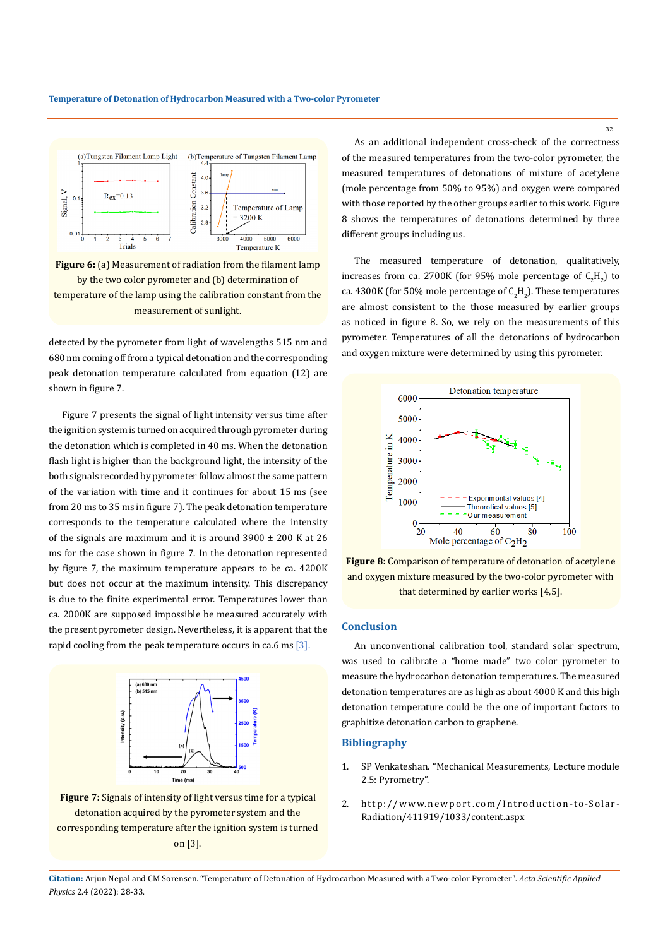

**Figure 6:** (a) Measurement of radiation from the filament lamp by the two color pyrometer and (b) determination of temperature of the lamp using the calibration constant from the measurement of sunlight.

detected by the pyrometer from light of wavelengths 515 nm and 680 nm coming off from a typical detonation and the corresponding peak detonation temperature calculated from equation (12) are shown in figure 7.

Figure 7 presents the signal of light intensity versus time after the ignition system is turned on acquired through pyrometer during the detonation which is completed in 40 ms. When the detonation flash light is higher than the background light, the intensity of the both signals recorded by pyrometer follow almost the same pattern of the variation with time and it continues for about 15 ms (see from 20 ms to 35 ms in figure 7). The peak detonation temperature corresponds to the temperature calculated where the intensity of the signals are maximum and it is around  $3900 \pm 200$  K at 26 ms for the case shown in figure 7. In the detonation represented by figure 7, the maximum temperature appears to be ca. 4200K but does not occur at the maximum intensity. This discrepancy is due to the finite experimental error. Temperatures lower than ca. 2000K are supposed impossible be measured accurately with the present pyrometer design. Nevertheless, it is apparent that the rapid cooling from the peak temperature occurs in ca.6 ms [3].



**Figure 7:** Signals of intensity of light versus time for a typical detonation acquired by the pyrometer system and the corresponding temperature after the ignition system is turned on [3].

As an additional independent cross-check of the correctness of the measured temperatures from the two-color pyrometer, the measured temperatures of detonations of mixture of acetylene (mole percentage from 50% to 95%) and oxygen were compared with those reported by the other groups earlier to this work. Figure 8 shows the temperatures of detonations determined by three different groups including us.

The measured temperature of detonation, qualitatively, increases from ca. 2700K (for 95% mole percentage of  $C_2H_2$ ) to ca. 4300K (for 50% mole percentage of  $C_2H_2$ ). These temperatures are almost consistent to the those measured by earlier groups as noticed in figure 8. So, we rely on the measurements of this pyrometer. Temperatures of all the detonations of hydrocarbon and oxygen mixture were determined by using this pyrometer.



**Figure 8:** Comparison of temperature of detonation of acetylene and oxygen mixture measured by the two-color pyrometer with that determined by earlier works [4,5].

# **Conclusion**

An unconventional calibration tool, standard solar spectrum, was used to calibrate a "home made" two color pyrometer to measure the hydrocarbon detonation temperatures. The measured detonation temperatures are as high as about 4000 K and this high detonation temperature could be the one of important factors to graphitize detonation carbon to graphene.

# **Bibliography**

- 1. SP Venkateshan. "Mechanical Measurements, Lecture module 2.5: Pyrometry".
- 2. [http://www.newport.com/Introduction-to-Solar-](http://www.newport.com/Introduction-to-Solar-Radiation/411919/1033/content.aspx)[Radiation/411919/1033/content.aspx](http://www.newport.com/Introduction-to-Solar-Radiation/411919/1033/content.aspx)

**Citation:** Arjun Nepal and CM Sorensen*.* "Temperature of Detonation of Hydrocarbon Measured with a Two-color Pyrometer". *Acta Scientific Applied Physics* 2.4 (2022): 28-33.